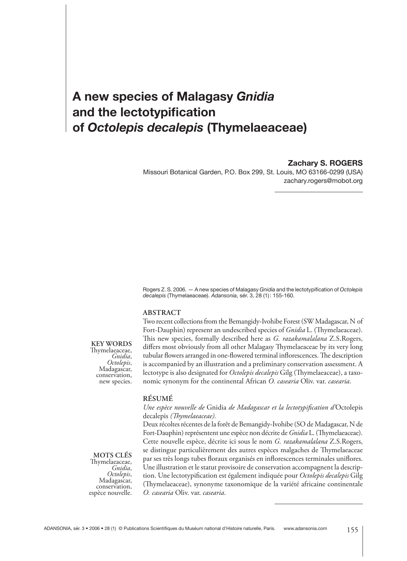# **A new species of Malagasy** *Gnidia* **and the lectotypification of** *Octolepis decalepis* **(Thymelaeaceae)**

**Zachary S. ROGERS**

Missouri Botanical Garden, P.O. Box 299, St. Louis, MO 63166-0299 (USA) zachary.rogers@mobot.org

Rogers Z. S. 2006.  $-$  A new species of Malagasy *Gnidia* and the lectotypification of *Octolepis decalepis* (Thymelaeaceae). *Adansonia*, sér. 3, 28 (1) : 155-160.

### **ABSTRACT**

Two recent collections from the Bemangidy-Ivohibe Forest (SW Madagascar, N of Fort-Dauphin) represent an undescribed species of *Gnidia* L. (Thymelaeaceae). This new species, formally described here as *G. razakamalalana* Z.S.Rogers, differs most obviously from all other Malagasy Thymelaeaceae by its very long tubular flowers arranged in one-flowered terminal inflorescences. The description is accompanied by an illustration and a preliminary conservation assessment. A lectotype is also designated for *Octolepis decalepis* Gilg (Thymelaeaceae), a taxonomic synonym for the continental African *O. casearia* Oliv. var. *casearia*.

### **RÉSUMÉ**

## *Une espèce nouvelle de* Gnidia *de Madagascar et la lectotypification d'*Octolepis decalepis (Thymelaeaceae).

Deux récoltes récentes de la forêt de Bemangidy-Ivohibe (SO de Madagascar, N de Fort-Dauphin) représentent une espèce non décrite de *Gnidia* L. (Thymelaeaceae). Cette nouvelle espèce, décrite ici sous le nom *G. razakamalalana* Z.S.Rogers, se distingue particulièrement des autres espèces malgaches de Thymelaeaceae par ses très longs tubes floraux organisés en inflorescences terminales uniflores. Une illustration et le statut provisoire de conservation accompagnent la description. Une lectotypification est également indiquée pour *Octolepis decalepis* Gilg (Thymelaeaceae), synonyme taxonomique de la variété africaine continentale *O. casearia* Oliv. var. *casearia*.

## **KEY WORDS**

Th ymelaeaceae, *Gnidia*, *Octolepis*, Madagascar, conservation, new species.

**MOTS CLÉS** Th ymelaeaceae, *Gnidia*, *Octolepis*, Madagascar, conservation, espèce nouvelle.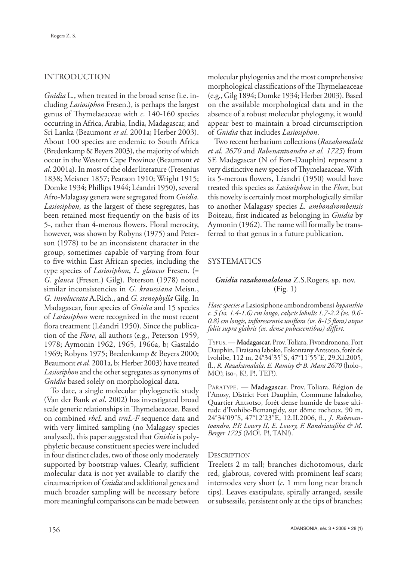# INTRODUCTION

*Gnidia* L., when treated in the broad sense (i.e. including *Lasiosiphon* Fresen.), is perhaps the largest genus of Thymelaeaceae with  $c$ . 140-160 species occurring in Africa, Arabia, India, Madagascar, and Sri Lanka (Beaumont *et al*. 2001a; Herber 2003). About 100 species are endemic to South Africa (Bredenkamp & Beyers 2003), the majority of which occur in the Western Cape Province (Beaumont *et al*. 2001a). In most of the older literature (Fresenius 1838; Meisner 1857; Pearson 1910; Wright 1915; Domke 1934; Phillips 1944; Léandri 1950), several Afro-Malagasy genera were segregated from *Gnidia*. *Lasiosiphon*, as the largest of these segregates, has been retained most frequently on the basis of its 5-, rather than 4-merous flowers. Floral merocity, however, was shown by Robyns (1975) and Peterson (1978) to be an inconsistent character in the group, sometimes capable of varying from four to five within East African species, including the type species of *Lasiosiphon*, *L. glaucus* Fresen. (= *G. glauca* (Fresen.) Gilg). Peterson (1978) noted similar inconsistencies in *G. kraussiana* Meisn., *G. involucrata* A.Rich., and *G. stenophylla* Gilg. In Madagascar, four species of *Gnidia* and 15 species of *Lasiosiphon* were recognized in the most recent flora treatment (Léandri 1950). Since the publication of the *Flore*, all authors (e.g., Peterson 1959, 1978; Aymonin 1962, 1965, 1966a, b; Gastaldo 1969; Robyns 1975; Bredenkamp & Beyers 2000; Beaumont *et al.* 2001a, b; Herber 2003) have treated *Lasiosiphon* and the other segregates as synonyms of *Gnidia* based solely on morphological data.

To date, a single molecular phylogenetic study (Van der Bank *et al*. 2002) has investigated broad scale generic relationships in Thymelaeaceae. Based on combined *rbcL* and *trnL-F* sequence data and with very limited sampling (no Malagasy species analysed), this paper suggested that *Gnidia* is polyphyletic because constituent species were included in four distinct clades, two of those only moderately supported by bootstrap values. Clearly, sufficient molecular data is not yet available to clarify the circumscription of *Gnidia* and additional genes and much broader sampling will be necessary before more meaningful comparisons can be made between

molecular phylogenies and the most comprehensive morphological classifications of the Thymelaeaceae (e.g., Gilg 1894; Domke 1934; Herber 2003). Based on the available morphological data and in the absence of a robust molecular phylogeny, it would appear best to maintain a broad circumscription of *Gnidia* that includes *Lasiosiphon*.

Two recent herbarium collections (*Razakamalala et al. 2670* and *Rabenantoandro et al. 1725*) from SE Madagascar (N of Fort-Dauphin) represent a very distinctive new species of Thymelaeaceae. With its 5-merous flowers, Léandri (1950) would have treated this species as *Lasiosiphon* in the *Flore*, but this novelty is certainly most morphologically similar to another Malagasy species *L. ambondrombensis*  Boiteau, first indicated as belonging in *Gnidia* by Aymonin (1962). The name will formally be transferred to that genus in a future publication.

# SYSTEMATICS

# *Gnidia razakamalalana* Z.S.Rogers, sp. nov. (Fig. 1)

*Haec species a* Lasiosiphone ambondrombensi *hypanthio c. 5 (vs. 1.4-1.6) cm longo, calycis lobulis 1.7-2.2 (vs. 0.6-* 0.8) cm longis, inflorescentia uniflora (vs. 8-15 flora) atque *foliis supra glabris (vs. dense pubescentibus) differt.* 

TYPUS. — **Madagascar.** Prov. Toliara, Fivondronona, Fort Dauphin, Firaisana Iaboko, Fokontany Antsotso, forêt de Ivohibe, 112 m, 24°34'35"S, 47°11'55"E, 29.XI.2005, fl ., *R. Razakamalala, E. Ramisy & B. Mara 2670* (holo-, MO!; iso-, K!, P!, TEF!).

PARATYPE. — **Madagascar.** Prov. Toliara, Région de l'Anosy, District Fort Dauphin, Commune Iabakoho, Quartier Antsotso, forêt dense humide de basse altitude d'Ivohibe-Bemangidy, sur dôme rocheux, 90 m, 24°34'09"S, 47°12'23"E, 12.II.2006, fl., *J. Rabenan*toandro, P.P. Lowry II, E. Lowry, F. Randriatafika & M. *Berger 1725* (MO!, P!, TAN!).

## **DESCRIPTION**

Treelets 2 m tall; branches dichotomous, dark red, glabrous, covered with prominent leaf scars; internodes very short (*c.* 1 mm long near branch tips). Leaves exstipulate, spirally arranged, sessile or subsessile, persistent only at the tips of branches;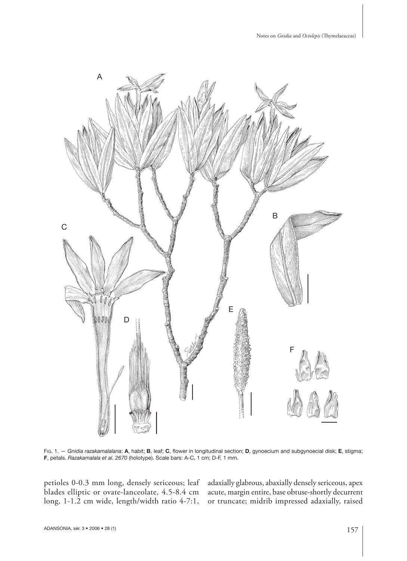

FIG. 1. — *Gnidia razakamalalana*: **A**, habit; **B**, leaf; **C**, fl ower in longitudinal section; **D**, gynoecium and subgynoecial disk; **E**, stigma; **F**, petals. *Razakamalala et al. 2670* (holotype). Scale bars: A-C, 1 cm; D-F, 1 mm.

petioles 0-0.3 mm long, densely sericeous; leaf blades elliptic or ovate-lanceolate, 4.5-8.4 cm long, 1-1.2 cm wide, length/width ratio 4-7:1, adaxially glabrous, abaxially densely sericeous, apex acute, margin entire, base obtuse-shortly decurrent or truncate; midrib impressed adaxially, raised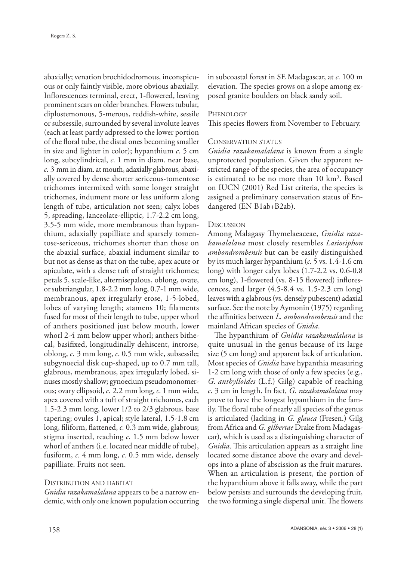abaxially; venation brochidodromous, inconspicuous or only faintly visible, more obvious abaxially. Inflorescences terminal, erect, 1-flowered, leaving prominent scars on older branches. Flowers tubular, diplostemonous, 5-merous, reddish-white, sessile or subsessile, surrounded by several involute leaves (each at least partly adpressed to the lower portion of the floral tube, the distal ones becoming smaller in size and lighter in color); hypanthium *c*. 5 cm long, subcylindrical, *c*. 1 mm in diam. near base, *c*. 3 mm in diam. at mouth, adaxially glabrous, abaxially covered by dense shorter sericeous- tomentose trichomes intermixed with some longer straight trichomes, indument more or less uniform along length of tube, articulation not seen; calyx lobes 5, spreading, lanceolate-elliptic, 1.7-2.2 cm long, 3.5-5 mm wide, more membranous than hypanthium, adaxially papilliate and sparsely tomentose-sericeous, trichomes shorter than those on the abaxial surface, abaxial indument similar to but not as dense as that on the tube, apex acute or apiculate, with a dense tuft of straight trichomes; petals 5, scale-like, alternisepalous, oblong, ovate, or subtriangular, 1.8-2.2 mm long, 0.7-1 mm wide, membranous, apex irregularly erose, 1-5-lobed, lobes of varying length; stamens 10; filaments fused for most of their length to tube, upper whorl of anthers positioned just below mouth, lower whorl 2-4 mm below upper whorl; anthers bithecal, basifixed, longitudinally dehiscent, introrse, oblong, *c.* 3 mm long, *c*. 0.5 mm wide, subsessile; subgynoecial disk cup-shaped, up to 0.7 mm tall, glabrous, membranous, apex irregularly lobed, sinuses mostly shallow; gynoecium pseudomonomerous; ovary ellipsoid, *c.* 2.2 mm long, *c*. 1 mm wide, apex covered with a tuft of straight trichomes, each 1.5-2.3 mm long, lower 1/2 to 2/3 glabrous, base tapering; ovules 1, apical; style lateral, 1.5-1.8 cm long, filiform, flattened, *c.* 0.3 mm wide, glabrous; stigma inserted, reaching *c.* 1.5 mm below lower whorl of anthers (i.e. located near middle of tube), fusiform, *c.* 4 mm long, *c.* 0.5 mm wide, densely papilliate. Fruits not seen.

# DISTRIBUTION AND HABITAT

*Gnidia razakamalalana* appears to be a narrow endemic, with only one known population occurring in subcoastal forest in SE Madagascar, at *c*. 100 m elevation. The species grows on a slope among exposed granite boulders on black sandy soil.

## **PHENOLOGY**

This species flowers from November to February.

## CONSERVATION STATUS

*Gnidia razakamalalana* is known from a single unprotected population. Given the apparent restricted range of the species, the area of occupancy is estimated to be no more than 10 km2. Based on IUCN (2001) Red List criteria, the species is assigned a preliminary conservation status of Endangered (EN B1ab+B2ab).

## **DISCUSSION**

Among Malagasy Thymelaeaceae, *Gnidia razakamalalana* most closely resembles *Lasiosiphon ambondrombensis* but can be easily distinguished by its much larger hypanthium (*c.* 5 vs. 1.4-1.6 cm long) with longer calyx lobes (1.7-2.2 vs. 0.6-0.8 cm long), 1-flowered (vs. 8-15 flowered) inflorescences, and larger (4.5-8.4 vs. 1.5-2.3 cm long) leaves with a glabrous (vs. densely pubescent) adaxial surface. See the note by Aymonin (1975) regarding the affinities between *L. ambondrombensis* and the mainland African species of *Gnidia*.

The hypanthium of *Gnidia razakamalalana* is quite unusual in the genus because of its large size (5 cm long) and apparent lack of articulation. Most species of *Gnidia* have hypanthia measuring 1-2 cm long with those of only a few species (e.g., *G. anthylloides* (L.f.) Gilg) capable of reaching *c*. 3 cm in length. In fact, *G. razakamalalana* may prove to have the longest hypanthium in the family. The floral tube of nearly all species of the genus is articulated (lacking in *G. glauca* (Fresen.) Gilg from Africa and *G. gilbertae* Drake from Madagascar), which is used as a distinguishing character of *Gnidia*. This articulation appears as a straight line located some distance above the ovary and develops into a plane of abscission as the fruit matures. When an articulation is present, the portion of the hypanthium above it falls away, while the part below persists and surrounds the developing fruit, the two forming a single dispersal unit. The flowers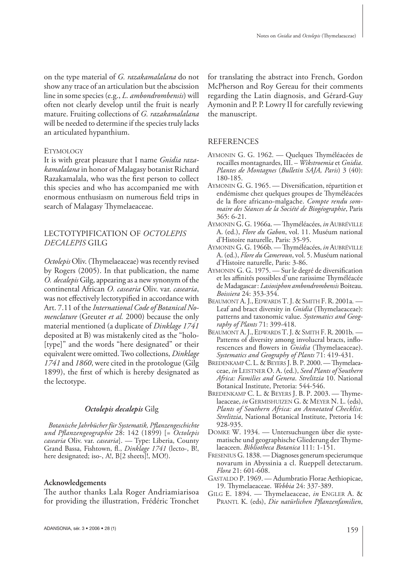on the type material of *G. razakamalalana* do not show any trace of an articulation but the abscission line in some species (e.g., *L. ambondrombensis*) will often not clearly develop until the fruit is nearly mature. Fruiting collections of *G. razakamalalana* will be needed to determine if the species truly lacks an articulated hypanthium.

#### **ETYMOLOGY**

It is with great pleasure that I name *Gnidia razakamalalana* in honor of Malagasy botanist Richard Razakamalala, who was the first person to collect this species and who has accompanied me with enormous enthusiasm on numerous field trips in search of Malagasy Thymelaeaceae.

# LECTOTYPIFICATION OF *OCTOLEPIS DECALEPIS* GILG

*Octolepis* Oliv. (Thymelaeaceae) was recently revised by Rogers (2005). In that publication, the name *O. decalepis* Gilg, appearing as a new synonym of the continental African *O. casearia* Oliv. var. *casearia*, was not effectively lectotypified in accordance with Art. 7.11 of the *International Code of Botanical Nomenclature* (Greuter *et al.* 2000) because the only material mentioned (a duplicate of *Dinklage 1741* deposited at B) was mistakenly cited as the "holo- [type]" and the words "here designated" or their equivalent were omitted. Two collections, *Dinklage 1741* and *1860*, were cited in the protologue (Gilg 1899), the first of which is hereby designated as the lectotype.

#### *Octolepis decalepis* Gilg

*Botanische Jahrbücher für Systematik, Pfl anzengeschichte und Pfl anzengeographie* 28: 142 (1899) [= *Octolepis casearia* Oliv. var. *casearia*]. — Type: Liberia, County Grand Bassa, Fishtown, fl., *Dinklage 1741* (lecto-, B!, here designated; iso-, A!, B[2 sheets]!, MO!).

#### **Acknowledgements**

The author thanks Lala Roger Andriamiarisoa for providing the illustration, Frédéric Tronchet

for translating the abstract into French, Gordon McPherson and Roy Gereau for their comments regarding the Latin diagnosis, and Gérard-Guy Aymonin and P. P. Lowry II for carefully reviewing the manuscript.

## REFERENCES

- AYMONIN G. G. 1962. Quelques Thyméléacées de rocailles montagnardes, III. – *Wikstroemia* et *Gnidia*. *Plantes de Montagnes* (*Bulletin SAJA, Paris*) 3 (40): 180-185.
- AYMONIN G. G. 1965. Diversification, répartition et endémisme chez quelques groupes de Thyméléacées de la flore africano-malgache. Compte rendu som*maire des Séances de la Société de Biogéographie*, Paris 365: 6-21.
- AYMONIN G. G. 1966a. Thyméléacées, in AUBRÉVILLE A. (ed.), *Flore du Gabon*, vol. 11. Muséum national d'Histoire naturelle, Paris: 35-95.
- AYMONIN G. G. 1966b. Thyméléacées, *in* AUBRÉVILLE A. (ed.), *Flore du Cameroun*, vol. 5. Muséum national d'Histoire naturelle, Paris: 3-86.
- AYMONIN G. G. 1975. Sur le degré de diversification et les affinités possibles d'une rarissime Thyméléacée de Madagascar : *Lasiosiphon ambondrombensis* Boiteau. *Boissiera* 24: 353-354.
- BEAUMONT A. J., EDWARDS T. J. & SMITH F. R. 2001a. Leaf and bract diversity in *Gnidia* (Thymelaeaceae): patterns and taxonomic value. *Systematics and Geography of Plants* 71: 399-418.
- BEAUMONT A. J., EDWARDS T. J. & SMITH F. R. 2001b. Patterns of diversity among involucral bracts, inflorescences and flowers in *Gnidia* (Thymelaeaceae). *Systematics and Geography of Plants* 71: 419-431.
- BREDENKAMP C. L. & BEYERS J. B. P. 2000. Thymelaeaceae, *in* LEISTNER O. A. (ed.), *Seed Plants of Southern Africa: Families and Genera*. *Strelitzia* 10. National Botanical Institute, Pretoria: 544-546.
- BREDENKAMP C. L. & BEYERS J. B. P. 2003. Thymelaeaceae, *in* GERMISHUIZEN G. & MEYER N. L. (eds), *Plants of Southern Africa: an Annotated Checklist*. *Strelitzia*, National Botanical Institute, Pretoria 14: 928-935.
- DOMKE W. 1934. Untersuchungen über die systematische und geographische Gliederung der Thymelaeaceen. *Bibliotheca Botanica* 111: 1-151.
- FRESENIUS G. 1838. Diagnoses generum specierumque novarum in Abyssinia a cl. Rueppell detectarum. *Flora* 21: 601-608.
- GASTALDO P. 1969. Adumbratio Florae Aethiopicae, 19. Th ymelaeaceae. *Webbia* 24: 337-389.
- GILG E. 1894. Thymelaeaceae, *in* ENGLER A. & PRANTL K. (eds), *Die natürlichen Pflanzenfamilien*,